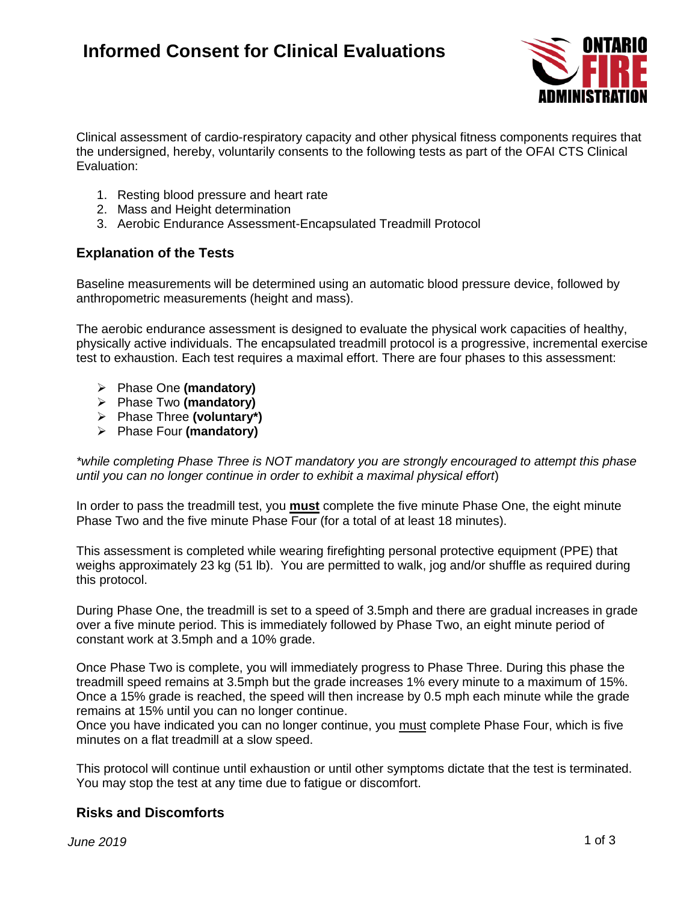

Clinical assessment of cardio-respiratory capacity and other physical fitness components requires that the undersigned, hereby, voluntarily consents to the following tests as part of the OFAI CTS Clinical Evaluation:

- 1. Resting blood pressure and heart rate
- 2. Mass and Height determination
- 3. Aerobic Endurance Assessment-Encapsulated Treadmill Protocol

#### **Explanation of the Tests**

Baseline measurements will be determined using an automatic blood pressure device, followed by anthropometric measurements (height and mass).

The aerobic endurance assessment is designed to evaluate the physical work capacities of healthy, physically active individuals. The encapsulated treadmill protocol is a progressive, incremental exercise test to exhaustion. Each test requires a maximal effort. There are four phases to this assessment:

- Phase One **(mandatory)**
- Phase Two **(mandatory)**
- Phase Three **(voluntary\*)**
- Phase Four **(mandatory)**

*\*while completing Phase Three is NOT mandatory you are strongly encouraged to attempt this phase until you can no longer continue in order to exhibit a maximal physical effort*)

In order to pass the treadmill test, you **must** complete the five minute Phase One, the eight minute Phase Two and the five minute Phase Four (for a total of at least 18 minutes).

This assessment is completed while wearing firefighting personal protective equipment (PPE) that weighs approximately 23 kg (51 lb). You are permitted to walk, jog and/or shuffle as required during this protocol.

During Phase One, the treadmill is set to a speed of 3.5mph and there are gradual increases in grade over a five minute period. This is immediately followed by Phase Two, an eight minute period of constant work at 3.5mph and a 10% grade.

Once Phase Two is complete, you will immediately progress to Phase Three. During this phase the treadmill speed remains at 3.5mph but the grade increases 1% every minute to a maximum of 15%. Once a 15% grade is reached, the speed will then increase by 0.5 mph each minute while the grade remains at 15% until you can no longer continue.

Once you have indicated you can no longer continue, you must complete Phase Four, which is five minutes on a flat treadmill at a slow speed.

This protocol will continue until exhaustion or until other symptoms dictate that the test is terminated. You may stop the test at any time due to fatigue or discomfort.

### **Risks and Discomforts**

*June 2019* 1 of 3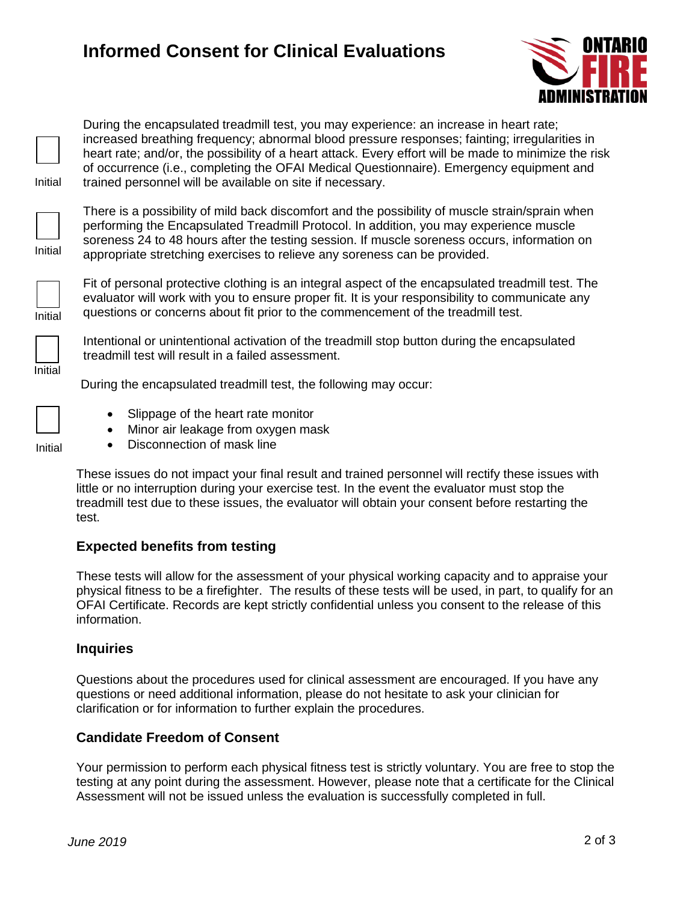# **Informed Consent for Clinical Evaluations**



Initial

During the encapsulated treadmill test, you may experience: an increase in heart rate; increased breathing frequency; abnormal blood pressure responses; fainting; irregularities in heart rate; and/or, the possibility of a heart attack. Every effort will be made to minimize the risk of occurrence (i.e., completing the OFAI Medical Questionnaire). Emergency equipment and trained personnel will be available on site if necessary.

Initial

There is a possibility of mild back discomfort and the possibility of muscle strain/sprain when performing the Encapsulated Treadmill Protocol. In addition, you may experience muscle soreness 24 to 48 hours after the testing session. If muscle soreness occurs, information on appropriate stretching exercises to relieve any soreness can be provided.



Fit of personal protective clothing is an integral aspect of the encapsulated treadmill test. The evaluator will work with you to ensure proper fit. It is your responsibility to communicate any questions or concerns about fit prior to the commencement of the treadmill test.

Initial

Intentional or unintentional activation of the treadmill stop button during the encapsulated treadmill test will result in a failed assessment.

During the encapsulated treadmill test, the following may occur:

- Slippage of the heart rate monitor
- Minor air leakage from oxygen mask
- Disconnection of mask line

These issues do not impact your final result and trained personnel will rectify these issues with little or no interruption during your exercise test. In the event the evaluator must stop the treadmill test due to these issues, the evaluator will obtain your consent before restarting the test.

### **Expected benefits from testing**

These tests will allow for the assessment of your physical working capacity and to appraise your physical fitness to be a firefighter. The results of these tests will be used, in part, to qualify for an OFAI Certificate. Records are kept strictly confidential unless you consent to the release of this information.

### **Inquiries**

Questions about the procedures used for clinical assessment are encouraged. If you have any questions or need additional information, please do not hesitate to ask your clinician for clarification or for information to further explain the procedures.

### **Candidate Freedom of Consent**

Your permission to perform each physical fitness test is strictly voluntary. You are free to stop the testing at any point during the assessment. However, please note that a certificate for the Clinical Assessment will not be issued unless the evaluation is successfully completed in full.